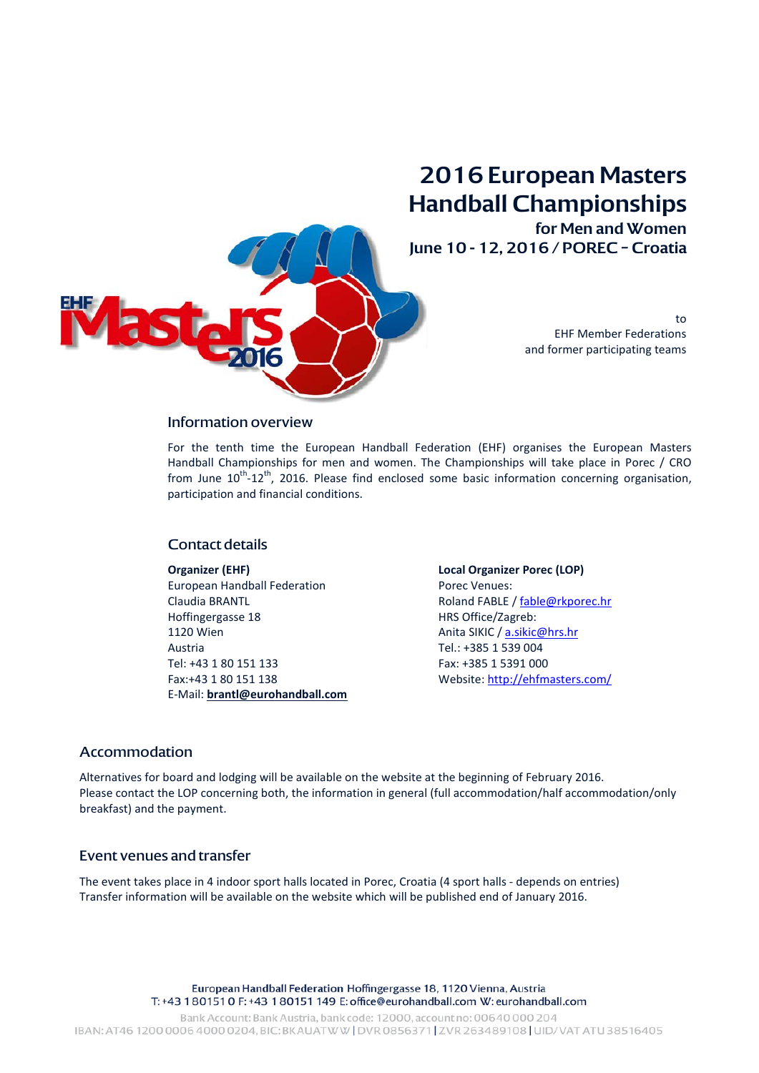

**2016 European Masters Handball Championships** 

**for Men and Women June 10 - 12, 2016 / POREC – Croatia**

> to EHF Member Federations and former participating teams

#### Information overview

For the tenth time the European Handball Federation (EHF) organises the European Masters Handball Championships for men and women. The Championships will take place in Porec / CRO from June  $10^{th}$ -12<sup>th</sup>, 2016. Please find enclosed some basic information concerning organisation, participation and financial conditions.

### Contact details

#### **Organizer (EHF)**

European Handball Federation Claudia BRANTL Hoffingergasse 18 1120 Wien Austria Tel: +43 1 80 151 133 Fax:+43 1 80 151 138 E-Mail: **[brantl@eurohandball.com](mailto:brantl@eurohandball.com)** **Local Organizer Porec (LOP)** Porec Venues: Roland FABLE / [fable@rkporec.hr](mailto:fable@rkporec.hr) HRS Office/Zagreb: Anita SIKIC / [a.sikic@hrs.hr](mailto:a.sikic@hrs.hr) Tel.: +385 1 539 004 Fax: +385 1 5391 000 Website[: http://ehfmasters.com/](http://ehfmasters.com/)

### Accommodation

Alternatives for board and lodging will be available on the website at the beginning of February 2016. Please contact the LOP concerning both, the information in general (full accommodation/half accommodation/only breakfast) and the payment.

#### Event venues and transfer

The event takes place in 4 indoor sport halls located in Porec, Croatia (4 sport halls - depends on entries) Transfer information will be available on the website which will be published end of January 2016.

> European Handball Federation Hoffingergasse 18, 1120 Vienna, Austria T: +43 1 80151 0 F: +43 1 80151 149 E: office@eurohandball.com W: eurohandball.com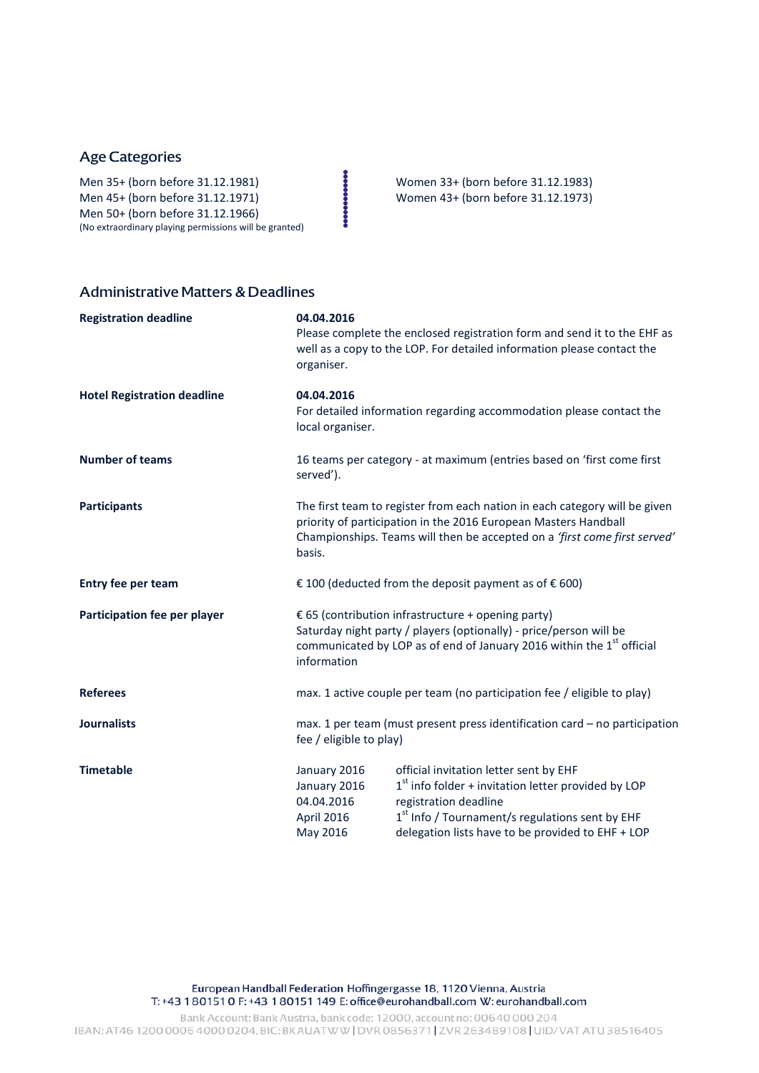# Age Categories

Men 35+ (born before 31.12.1981)<br>
Men 45+ (born before 31.12.1971)<br>
Men 50+ (born before 31.12.1966)<br>
Men 50+ (born before 31.12.1966)<br>
Men tractions play are explicit to started) Men 45+ (born before 31.12.1971) Women 43+ (born before 31.12.1973) Men 50+ (born before 31.12.1966) (No extraordinary playing permissions will be granted)

# Administrative Matters & Deadlines

| <b>Registration deadline</b>       | 04.04.2016<br>organiser.                                                                                                                                                                                                             | Please complete the enclosed registration form and send it to the EHF as<br>well as a copy to the LOP. For detailed information please contact the                                                                                           |
|------------------------------------|--------------------------------------------------------------------------------------------------------------------------------------------------------------------------------------------------------------------------------------|----------------------------------------------------------------------------------------------------------------------------------------------------------------------------------------------------------------------------------------------|
| <b>Hotel Registration deadline</b> | 04.04.2016<br>local organiser.                                                                                                                                                                                                       | For detailed information regarding accommodation please contact the                                                                                                                                                                          |
| <b>Number of teams</b>             | 16 teams per category - at maximum (entries based on 'first come first<br>served').                                                                                                                                                  |                                                                                                                                                                                                                                              |
| <b>Participants</b>                | The first team to register from each nation in each category will be given<br>priority of participation in the 2016 European Masters Handball<br>Championships. Teams will then be accepted on a 'first come first served'<br>basis. |                                                                                                                                                                                                                                              |
| Entry fee per team                 | € 100 (deducted from the deposit payment as of $€ 600$ )                                                                                                                                                                             |                                                                                                                                                                                                                                              |
| Participation fee per player       | € 65 (contribution infrastructure + opening party)<br>Saturday night party / players (optionally) - price/person will be<br>communicated by LOP as of end of January 2016 within the 1 <sup>st</sup> official<br>information         |                                                                                                                                                                                                                                              |
| <b>Referees</b>                    | max. 1 active couple per team (no participation fee / eligible to play)                                                                                                                                                              |                                                                                                                                                                                                                                              |
| <b>Journalists</b>                 | max. 1 per team (must present press identification card - no participation<br>fee / eligible to play)                                                                                                                                |                                                                                                                                                                                                                                              |
| <b>Timetable</b>                   | January 2016<br>January 2016<br>04.04.2016<br>April 2016<br>May 2016                                                                                                                                                                 | official invitation letter sent by EHF<br>$1st$ info folder + invitation letter provided by LOP<br>registration deadline<br>1 <sup>st</sup> Info / Tournament/s regulations sent by EHF<br>delegation lists have to be provided to EHF + LOP |

European Handball Federation Hoffingergasse 18, 1120 Vienna, Austria T: +43 180151 0 F: +43 180151 149 E: office@eurohandball.com W: eurohandball.com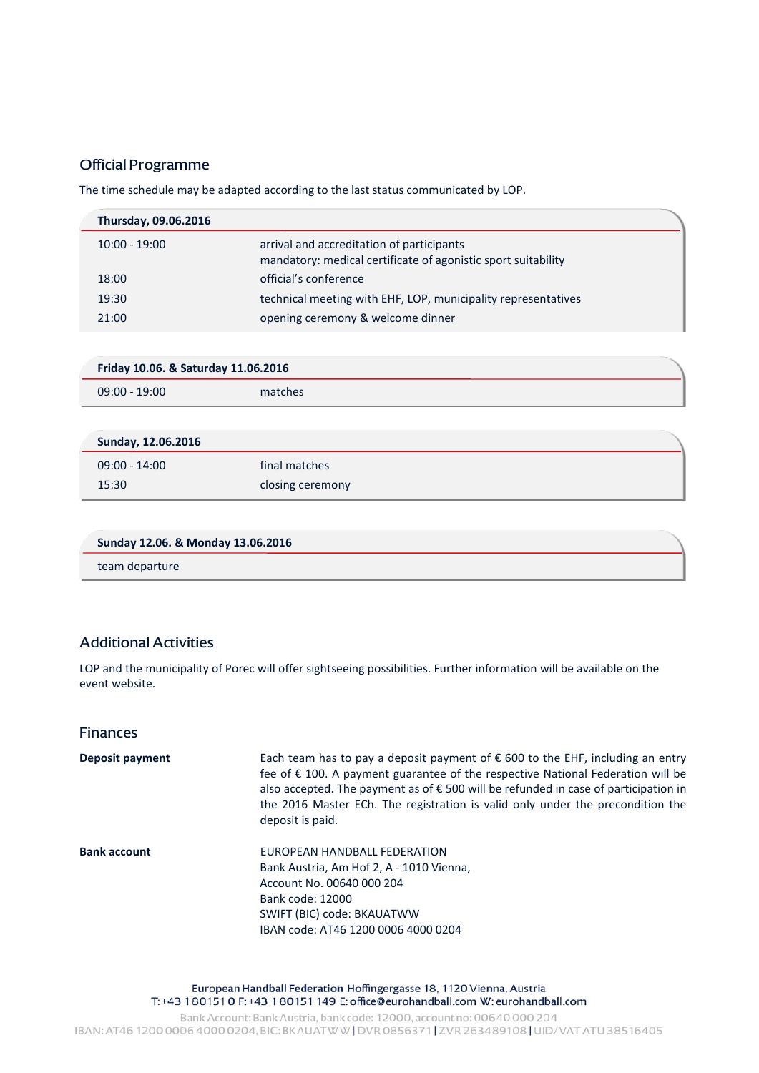# Official Programme

The time schedule may be adapted according to the last status communicated by LOP.

| Thursday, 09.06.2016 |                                                                                                            |
|----------------------|------------------------------------------------------------------------------------------------------------|
| $10:00 - 19:00$      | arrival and accreditation of participants<br>mandatory: medical certificate of agonistic sport suitability |
| 18:00                | official's conference                                                                                      |
| 19:30                | technical meeting with EHF, LOP, municipality representatives                                              |
| 21:00                | opening ceremony & welcome dinner                                                                          |

| Friday 10.06. & Saturday 11.06.2016 |         |
|-------------------------------------|---------|
| $09:00 - 19:00$                     | matches |

| Sunday, 12.06.2016 |                  |
|--------------------|------------------|
| $09:00 - 14:00$    | final matches    |
| 15:30              | closing ceremony |

| Sunday 12.06. & Monday 13.06.2016 |  |
|-----------------------------------|--|
| team departure                    |  |

# Additional Activities

LOP and the municipality of Porec will offer sightseeing possibilities. Further information will be available on the event website.

### Finances

**Deposit payment** Each team has to pay a deposit payment of € 600 to the EHF, including an entry fee of € 100. A payment guarantee of the respective National Federation will be also accepted. The payment as of € 500 will be refunded in case of participation in the 2016 Master ECh. The registration is valid only under the precondition the deposit is paid. **Bank account EUROPEAN HANDBALL FEDERATION** Bank Austria, Am Hof 2, A - 1010 Vienna, Account No. 00640 000 204 Bank code: 12000 SWIFT (BIC) code: BKAUATWW IBAN code: AT46 1200 0006 4000 0204

> European Handball Federation Hoffingergasse 18, 1120 Vienna, Austria T: +43 1801510 F: +43 180151 149 E: office@eurohandball.com W: eurohandball.com